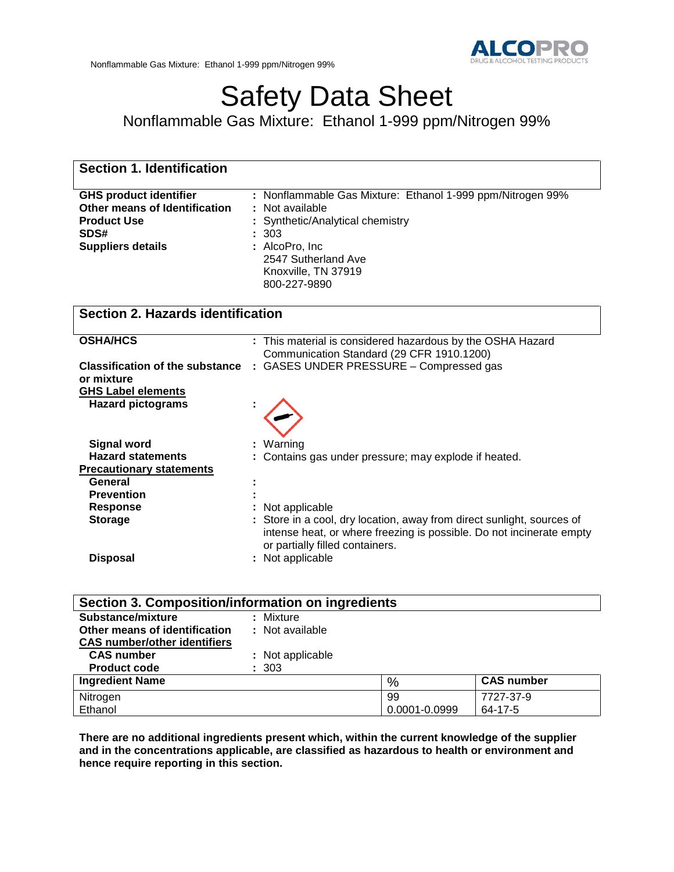# Safety Data Sheet

Nonflammable Gas Mixture: Ethanol 1-999 ppm/Nitrogen 99%

| <b>Section 1. Identification</b>                                                                                         |                                                                                                                                                                                                      |
|--------------------------------------------------------------------------------------------------------------------------|------------------------------------------------------------------------------------------------------------------------------------------------------------------------------------------------------|
| <b>GHS product identifier</b><br>Other means of Identification<br><b>Product Use</b><br>SDS#<br><b>Suppliers details</b> | : Nonflammable Gas Mixture: Ethanol 1-999 ppm/Nitrogen 99%<br>Not available<br>Synthetic/Analytical chemistry<br>303<br>: AlcoPro, Inc<br>2547 Sutherland Ave<br>Knoxville, TN 37919<br>800-227-9890 |
| <b>Section 2. Hazards identification</b>                                                                                 |                                                                                                                                                                                                      |
| <b>OSHA/HCS</b>                                                                                                          | : This material is considered hazardous by the OSHA Hazard<br>Communication Standard (29 CFR 1910.1200)                                                                                              |
| <b>Classification of the substance</b><br>or mixture<br><b>GHS Label elements</b>                                        | : GASES UNDER PRESSURE - Compressed gas                                                                                                                                                              |
| <b>Hazard pictograms</b>                                                                                                 |                                                                                                                                                                                                      |
| <b>Signal word</b>                                                                                                       | Warning                                                                                                                                                                                              |
| <b>Hazard statements</b><br><b>Precautionary statements</b>                                                              | Contains gas under pressure; may explode if heated.                                                                                                                                                  |
| General                                                                                                                  |                                                                                                                                                                                                      |
| <b>Prevention</b>                                                                                                        |                                                                                                                                                                                                      |
| <b>Response</b><br><b>Storage</b>                                                                                        | Not applicable<br>Store in a cool, dry location, away from direct sunlight, sources of<br>intense heat, or where freezing is possible. Do not incinerate empty<br>or partially filled containers.    |
| <b>Disposal</b>                                                                                                          | : Not applicable                                                                                                                                                                                     |
| Section 3. Composition/information on ingredients                                                                        |                                                                                                                                                                                                      |
| Substance/mixture                                                                                                        | Mixture                                                                                                                                                                                              |
| Other means of identification                                                                                            | : Not available                                                                                                                                                                                      |
| <b>CAS number/other identifiers</b>                                                                                      |                                                                                                                                                                                                      |
| <b>CAS number</b><br><b>Product code</b>                                                                                 | Not applicable<br>∼ורצ                                                                                                                                                                               |

| TTUUUL UUU <del>u</del><br>ັບບບ |               |                   |
|---------------------------------|---------------|-------------------|
| <b>Ingredient Name</b>          | $\%$          | <b>CAS number</b> |
| Nitrogen                        | 99            | 7727-37-9         |
| Ethanol                         | 0.0001-0.0999 | 64-17-5           |

**There are no additional ingredients present which, within the current knowledge of the supplier and in the concentrations applicable, are classified as hazardous to health or environment and hence require reporting in this section.**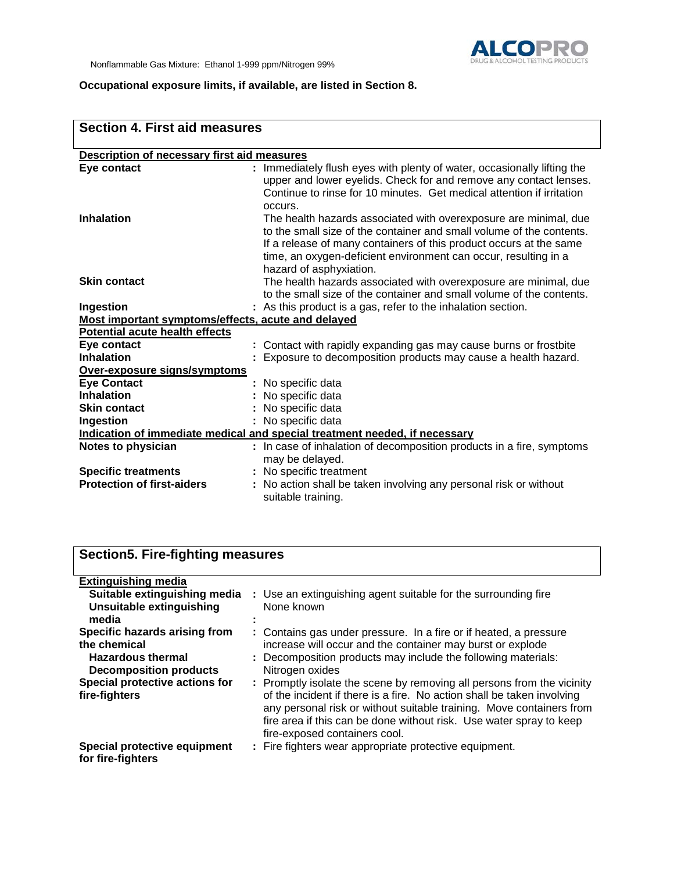

## **Occupational exposure limits, if available, are listed in Section 8.**

| <b>Section 4. First aid measures</b>               |                                                                                                                                                                                                                                                                                                              |  |
|----------------------------------------------------|--------------------------------------------------------------------------------------------------------------------------------------------------------------------------------------------------------------------------------------------------------------------------------------------------------------|--|
| Description of necessary first aid measures        |                                                                                                                                                                                                                                                                                                              |  |
| Eye contact                                        | Immediately flush eyes with plenty of water, occasionally lifting the<br>upper and lower eyelids. Check for and remove any contact lenses.<br>Continue to rinse for 10 minutes. Get medical attention if irritation<br>occurs.                                                                               |  |
| <b>Inhalation</b>                                  | The health hazards associated with overexposure are minimal, due<br>to the small size of the container and small volume of the contents.<br>If a release of many containers of this product occurs at the same<br>time, an oxygen-deficient environment can occur, resulting in a<br>hazard of asphyxiation. |  |
| <b>Skin contact</b>                                | The health hazards associated with overexposure are minimal, due<br>to the small size of the container and small volume of the contents.                                                                                                                                                                     |  |
| Ingestion                                          | : As this product is a gas, refer to the inhalation section.                                                                                                                                                                                                                                                 |  |
| Most important symptoms/effects, acute and delayed |                                                                                                                                                                                                                                                                                                              |  |
| <b>Potential acute health effects</b>              |                                                                                                                                                                                                                                                                                                              |  |
| Eye contact                                        | : Contact with rapidly expanding gas may cause burns or frostbite                                                                                                                                                                                                                                            |  |
| <b>Inhalation</b>                                  | Exposure to decomposition products may cause a health hazard.                                                                                                                                                                                                                                                |  |
| Over-exposure signs/symptoms                       |                                                                                                                                                                                                                                                                                                              |  |
| <b>Eye Contact</b>                                 | No specific data                                                                                                                                                                                                                                                                                             |  |
| <b>Inhalation</b>                                  | No specific data                                                                                                                                                                                                                                                                                             |  |
| <b>Skin contact</b>                                | No specific data                                                                                                                                                                                                                                                                                             |  |
| Ingestion                                          | No specific data                                                                                                                                                                                                                                                                                             |  |
|                                                    | Indication of immediate medical and special treatment needed, if necessary                                                                                                                                                                                                                                   |  |
| Notes to physician                                 | : In case of inhalation of decomposition products in a fire, symptoms<br>may be delayed.                                                                                                                                                                                                                     |  |
| <b>Specific treatments</b>                         | : No specific treatment                                                                                                                                                                                                                                                                                      |  |
| <b>Protection of first-aiders</b>                  | : No action shall be taken involving any personal risk or without<br>suitable training.                                                                                                                                                                                                                      |  |

| <b>Section5. Fire-fighting measures</b>                                                                                                      |                                                                                                                                                                                                                                                                                               |
|----------------------------------------------------------------------------------------------------------------------------------------------|-----------------------------------------------------------------------------------------------------------------------------------------------------------------------------------------------------------------------------------------------------------------------------------------------|
| <b>Extinguishing media</b><br>Suitable extinguishing media<br>Unsuitable extinguishing<br>media                                              | : Use an extinguishing agent suitable for the surrounding fire<br>None known                                                                                                                                                                                                                  |
| Specific hazards arising from<br>the chemical<br><b>Hazardous thermal</b><br><b>Decomposition products</b><br>Special protective actions for | : Contains gas under pressure. In a fire or if heated, a pressure<br>increase will occur and the container may burst or explode<br>: Decomposition products may include the following materials:<br>Nitrogen oxides<br>: Promptly isolate the scene by removing all persons from the vicinity |
| fire-fighters                                                                                                                                | of the incident if there is a fire. No action shall be taken involving<br>any personal risk or without suitable training. Move containers from<br>fire area if this can be done without risk. Use water spray to keep<br>fire-exposed containers cool.                                        |
| Special protective equipment<br>for fire-fighters                                                                                            | : Fire fighters wear appropriate protective equipment.                                                                                                                                                                                                                                        |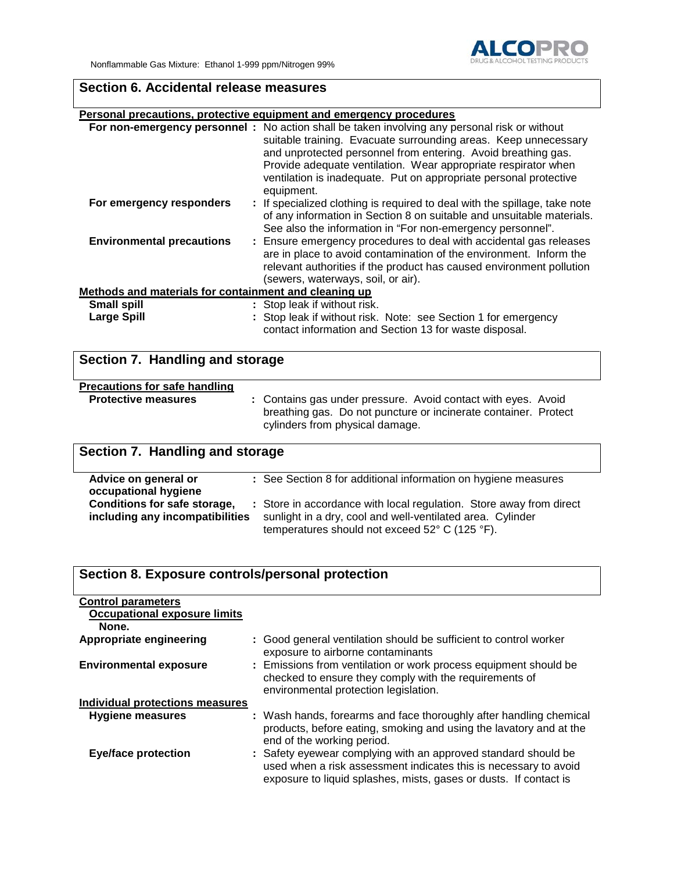# **Section 6. Accidental release measures**

#### **Personal precautions, protective equipment and emergency procedures**

|                                                       | For non-emergency personnel: No action shall be taken involving any personal risk or without<br>suitable training. Evacuate surrounding areas. Keep unnecessary<br>and unprotected personnel from entering. Avoid breathing gas.<br>Provide adequate ventilation. Wear appropriate respirator when<br>ventilation is inadequate. Put on appropriate personal protective<br>equipment. |  |
|-------------------------------------------------------|---------------------------------------------------------------------------------------------------------------------------------------------------------------------------------------------------------------------------------------------------------------------------------------------------------------------------------------------------------------------------------------|--|
| For emergency responders                              | : If specialized clothing is required to deal with the spillage, take note<br>of any information in Section 8 on suitable and unsuitable materials.<br>See also the information in "For non-emergency personnel".                                                                                                                                                                     |  |
| <b>Environmental precautions</b>                      | : Ensure emergency procedures to deal with accidental gas releases<br>are in place to avoid contamination of the environment. Inform the<br>relevant authorities if the product has caused environment pollution<br>(sewers, waterways, soil, or air).                                                                                                                                |  |
| Methods and materials for containment and cleaning up |                                                                                                                                                                                                                                                                                                                                                                                       |  |
| <b>Small spill</b>                                    | : Stop leak if without risk.                                                                                                                                                                                                                                                                                                                                                          |  |
| <b>Large Spill</b>                                    | : Stop leak if without risk. Note: see Section 1 for emergency<br>contact information and Section 13 for waste disposal.                                                                                                                                                                                                                                                              |  |

# **Section 7. Handling and storage Precautions for safe handling :** Contains gas under pressure. Avoid contact with eyes. Avoid breathing gas. Do not puncture or incinerate container. Protect cylinders from physical damage.

# **Section 7. Handling and storage**

| Advice on general or<br>occupational hygiene                    | : See Section 8 for additional information on hygiene measures                                                                                                                      |
|-----------------------------------------------------------------|-------------------------------------------------------------------------------------------------------------------------------------------------------------------------------------|
| Conditions for safe storage,<br>including any incompatibilities | : Store in accordance with local regulation. Store away from direct<br>sunlight in a dry, cool and well-ventilated area. Cylinder<br>temperatures should not exceed 52° C (125 °F). |

| Section 8. Exposure controls/personal protection |                                                                                                                                                                                                         |
|--------------------------------------------------|---------------------------------------------------------------------------------------------------------------------------------------------------------------------------------------------------------|
| <b>Control parameters</b>                        |                                                                                                                                                                                                         |
| <b>Occupational exposure limits</b>              |                                                                                                                                                                                                         |
| None.                                            |                                                                                                                                                                                                         |
| <b>Appropriate engineering</b>                   | : Good general ventilation should be sufficient to control worker<br>exposure to airborne contaminants                                                                                                  |
| <b>Environmental exposure</b>                    | : Emissions from ventilation or work process equipment should be<br>checked to ensure they comply with the requirements of<br>environmental protection legislation.                                     |
| Individual protections measures                  |                                                                                                                                                                                                         |
| <b>Hygiene measures</b>                          | : Wash hands, forearms and face thoroughly after handling chemical<br>products, before eating, smoking and using the lavatory and at the<br>end of the working period.                                  |
| <b>Eye/face protection</b>                       | : Safety eyewear complying with an approved standard should be<br>used when a risk assessment indicates this is necessary to avoid<br>exposure to liquid splashes, mists, gases or dusts. If contact is |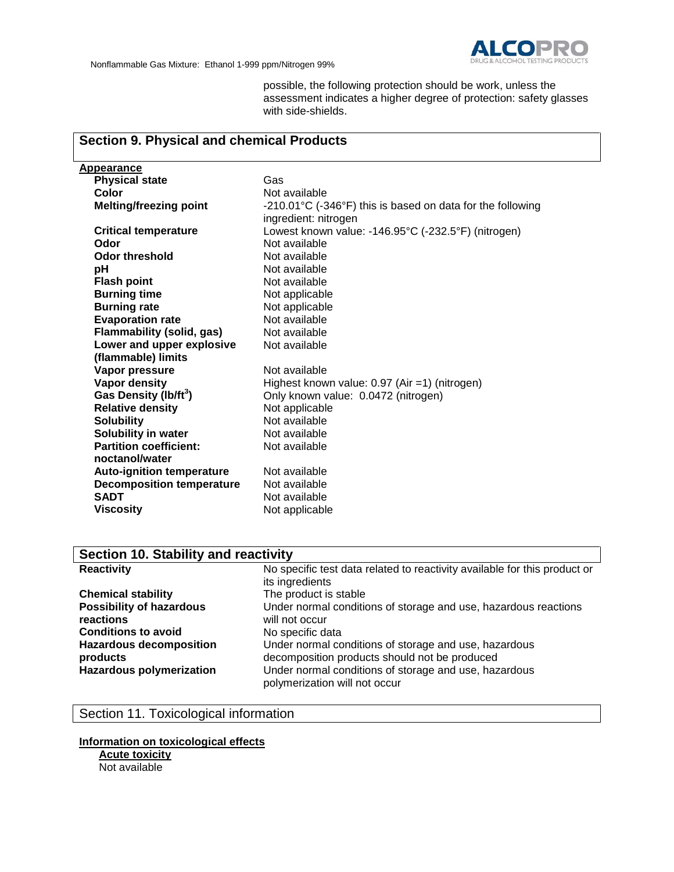

possible, the following protection should be work, unless the assessment indicates a higher degree of protection: safety glasses with side-shields.

#### **Section 9. Physical and chemical Products Appearance Physical state** Gas<br> **Color** Not a Color<br> **Melting/freezing point** Particle 210.01°C (-3 **Melting/freezing point** -210.01°C (-346°F) this is based on data for the following ingredient: nitrogen **Critical temperature** Lowest known value: -146.95°C (-232.5°F) (nitrogen) **Odor** Not available<br> **Odor threshold** Not available **Odor threshold**<br>pH **Not available Flash point**<br> **Burning time**<br> **Burning time**<br> **Not applicable Burning time**<br> **Burning rate**<br> **Burning rate**<br> **Not applicable Not applicable Evaporation rate Not available**<br> **Flammability (solid, gas)** Not available **Flammability (solid, gas) Lower and upper explosive (flammable) limits** Not available **Vapor pressure** Not available<br> **Vapor density**<br>
Vapor density Highest known value: 0.97 (Air =1) (nitrogen) **Gas Density (lb/ft<sup>3</sup> )** Only known value: 0.0472 (nitrogen) **Relative density Solubility** Not available **Solubility in water** Not available **Partition coefficient: noctanol/water** Not available **Auto-ignition temperature** Not available<br>**Decomposition temperature** Not available **Decomposition temperature**<br>SADT **Not available**

| Section 10. Stability and reactivity                                                                                     |                                                                                                                                                                                                                 |  |
|--------------------------------------------------------------------------------------------------------------------------|-----------------------------------------------------------------------------------------------------------------------------------------------------------------------------------------------------------------|--|
| <b>Reactivity</b>                                                                                                        | No specific test data related to reactivity available for this product or<br>its ingredients                                                                                                                    |  |
| <b>Chemical stability</b>                                                                                                | The product is stable                                                                                                                                                                                           |  |
| <b>Possibility of hazardous</b><br>reactions<br><b>Conditions to avoid</b><br><b>Hazardous decomposition</b><br>products | Under normal conditions of storage and use, hazardous reactions<br>will not occur<br>No specific data<br>Under normal conditions of storage and use, hazardous<br>decomposition products should not be produced |  |
| <b>Hazardous polymerization</b>                                                                                          | Under normal conditions of storage and use, hazardous<br>polymerization will not occur                                                                                                                          |  |

## Section 11. Toxicological information

**Viscosity** Not applicable

#### **Information on toxicological effects Acute toxicity**

Not available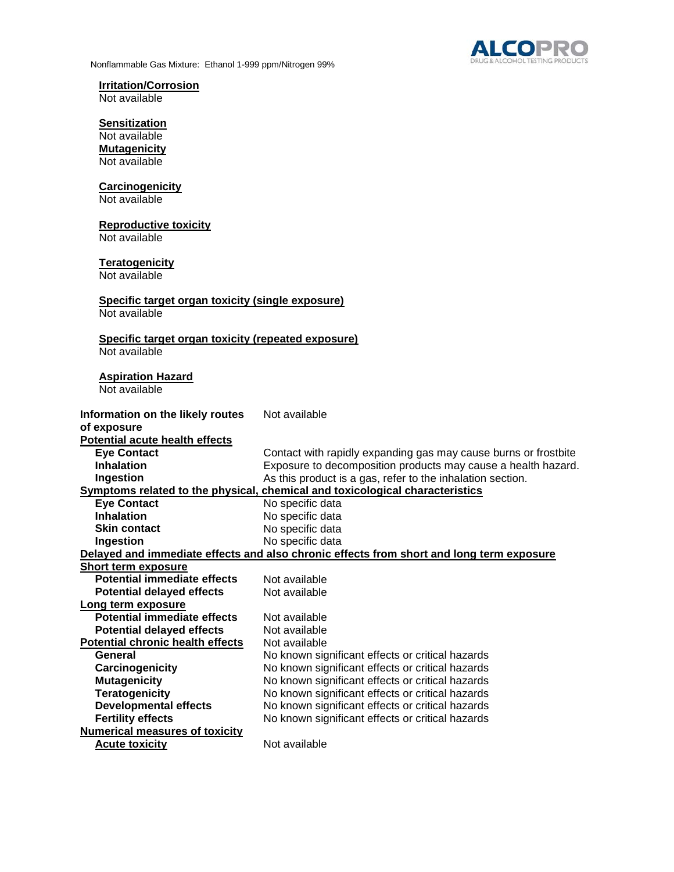



# **Irritation/Corrosion**

Not available

## **Sensitization**

Not available **Mutagenicity** Not available

#### **Carcinogenicity**

Not available

#### **Reproductive toxicity**

Not available

#### **Teratogenicity**

Not available

#### **Specific target organ toxicity (single exposure)** Not available

# **Specific target organ toxicity (repeated exposure)**

Not available

# **Aspiration Hazard**

Not available

| Information on the likely routes        | Not available                                                                            |
|-----------------------------------------|------------------------------------------------------------------------------------------|
| of exposure                             |                                                                                          |
| <b>Potential acute health effects</b>   |                                                                                          |
| <b>Eye Contact</b>                      | Contact with rapidly expanding gas may cause burns or frostbite                          |
| <b>Inhalation</b>                       | Exposure to decomposition products may cause a health hazard.                            |
| Ingestion                               | As this product is a gas, refer to the inhalation section.                               |
|                                         | Symptoms related to the physical, chemical and toxicological characteristics             |
| <b>Eye Contact</b>                      | No specific data                                                                         |
| <b>Inhalation</b>                       | No specific data                                                                         |
| <b>Skin contact</b>                     | No specific data                                                                         |
| Ingestion                               | No specific data                                                                         |
|                                         | Delayed and immediate effects and also chronic effects from short and long term exposure |
| <b>Short term exposure</b>              |                                                                                          |
| Potential immediate effects             | Not available                                                                            |
| <b>Potential delayed effects</b>        | Not available                                                                            |
| Long term exposure                      |                                                                                          |
| <b>Potential immediate effects</b>      | Not available                                                                            |
| <b>Potential delayed effects</b>        | Not available                                                                            |
| <b>Potential chronic health effects</b> | Not available                                                                            |
| General                                 | No known significant effects or critical hazards                                         |
| Carcinogenicity                         | No known significant effects or critical hazards                                         |
| <b>Mutagenicity</b>                     | No known significant effects or critical hazards                                         |
| <b>Teratogenicity</b>                   | No known significant effects or critical hazards                                         |
| <b>Developmental effects</b>            | No known significant effects or critical hazards                                         |
| <b>Fertility effects</b>                | No known significant effects or critical hazards                                         |
| <b>Numerical measures of toxicity</b>   |                                                                                          |
| <b>Acute toxicity</b>                   | Not available                                                                            |
|                                         |                                                                                          |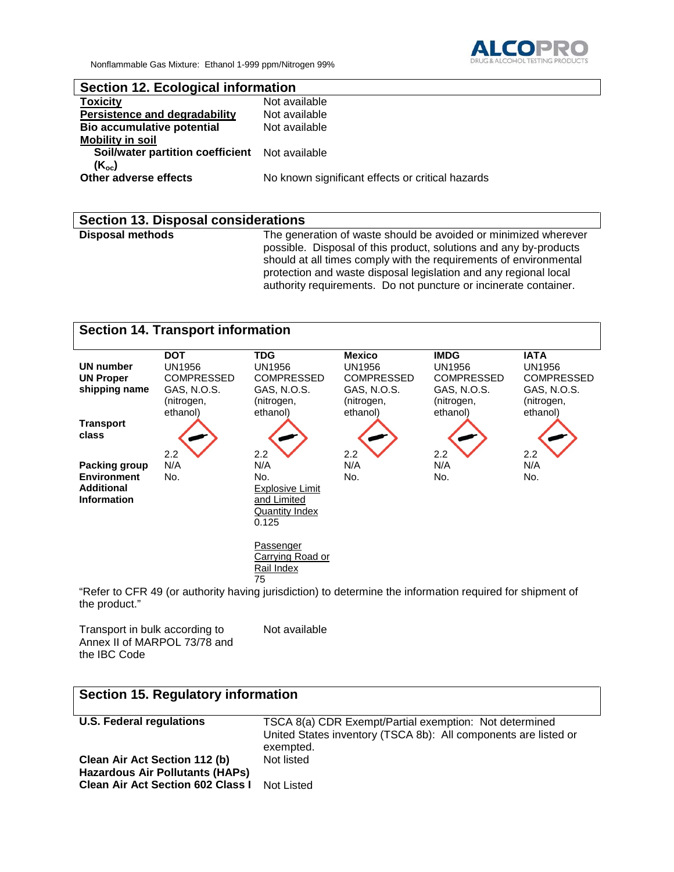Nonflammable Gas Mixture: Ethanol 1-999 ppm/Nitrogen 99%



## **Section 12. Ecological information**

| <b>Toxicity</b>                                       | Not available                                    |
|-------------------------------------------------------|--------------------------------------------------|
| <b>Persistence and degradability</b>                  | Not available                                    |
| <b>Bio accumulative potential</b>                     | Not available                                    |
| <b>Mobility in soil</b>                               |                                                  |
| <b>Soil/water partition coefficient</b> Not available |                                                  |
| (K <sub>oc</sub> )                                    |                                                  |
| Other adverse effects                                 | No known significant effects or critical hazards |
|                                                       |                                                  |

#### **Section 13. Disposal considerations**

**Disposal methods** The generation of waste should be avoided or minimized wherever possible. Disposal of this product, solutions and any by-products should at all times comply with the requirements of environmental protection and waste disposal legislation and any regional local authority requirements. Do not puncture or incinerate container.



"Refer to CFR 49 (or authority having jurisdiction) to determine the information required for shipment of the product."

| Transport in bulk according to |  |
|--------------------------------|--|
| Annex II of MARPOL 73/78 and   |  |
| the IBC Code                   |  |

Not available

| Section 15. Regulatory information                                                                                  |                                                                                                                                        |  |
|---------------------------------------------------------------------------------------------------------------------|----------------------------------------------------------------------------------------------------------------------------------------|--|
| <b>U.S. Federal regulations</b>                                                                                     | TSCA 8(a) CDR Exempt/Partial exemption: Not determined<br>United States inventory (TSCA 8b): All components are listed or<br>exempted. |  |
| Clean Air Act Section 112 (b)<br><b>Hazardous Air Pollutants (HAPs)</b><br><b>Clean Air Act Section 602 Class I</b> | Not listed<br>Not Listed                                                                                                               |  |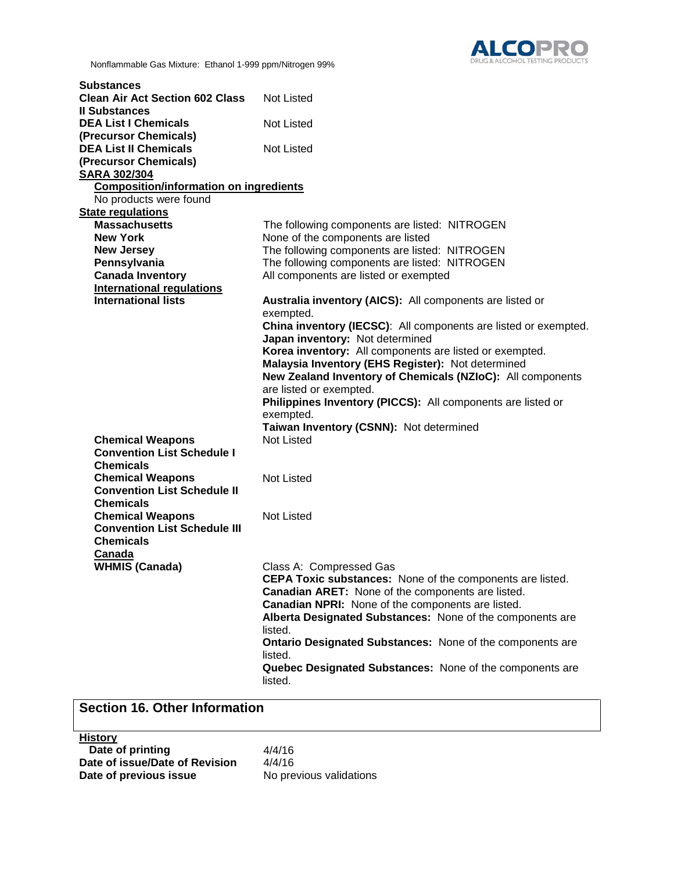

Nonflammable Gas Mixture: Ethanol 1-999 ppm/Nitrogen 99%

| <b>Clean Air Act Section 602 Class</b><br><b>Not Listed</b><br><b>Il Substances</b><br><b>DEA List I Chemicals</b><br><b>Not Listed</b><br>(Precursor Chemicals)<br><b>DEA List II Chemicals</b><br><b>Not Listed</b><br>(Precursor Chemicals)<br><b>SARA 302/304</b><br><b>Composition/information on ingredients</b><br>No products were found<br><b>State regulations</b><br><b>Massachusetts</b><br>The following components are listed: NITROGEN<br><b>New York</b><br>None of the components are listed<br>The following components are listed: NITROGEN<br><b>New Jersey</b><br>The following components are listed: NITROGEN<br>Pennsylvania<br><b>Canada Inventory</b><br>All components are listed or exempted<br><b>International regulations</b><br><b>International lists</b><br>Australia inventory (AICS): All components are listed or<br>exempted.<br>China inventory (IECSC): All components are listed or exempted.<br>Japan inventory: Not determined<br>Korea inventory: All components are listed or exempted.<br>Malaysia Inventory (EHS Register): Not determined<br>New Zealand Inventory of Chemicals (NZIoC): All components<br>are listed or exempted.<br>Philippines Inventory (PICCS): All components are listed or<br>exempted.<br>Taiwan Inventory (CSNN): Not determined<br><b>Not Listed</b><br><b>Chemical Weapons</b><br><b>Convention List Schedule I</b><br><b>Chemicals</b><br><b>Not Listed</b><br><b>Chemical Weapons</b><br><b>Convention List Schedule II</b><br><b>Chemicals</b><br><b>Chemical Weapons</b><br><b>Not Listed</b><br><b>Convention List Schedule III</b><br><b>Chemicals</b><br>Canada<br><b>WHMIS (Canada)</b><br>Class A: Compressed Gas<br><b>CEPA Toxic substances:</b> None of the components are listed.<br><b>Canadian ARET:</b> None of the components are listed.<br>Canadian NPRI: None of the components are listed.<br>Alberta Designated Substances: None of the components are<br>listed.<br><b>Ontario Designated Substances: None of the components are</b><br>listed.<br>Quebec Designated Substances: None of the components are<br>listed. | <b>Substances</b> |  |
|--------------------------------------------------------------------------------------------------------------------------------------------------------------------------------------------------------------------------------------------------------------------------------------------------------------------------------------------------------------------------------------------------------------------------------------------------------------------------------------------------------------------------------------------------------------------------------------------------------------------------------------------------------------------------------------------------------------------------------------------------------------------------------------------------------------------------------------------------------------------------------------------------------------------------------------------------------------------------------------------------------------------------------------------------------------------------------------------------------------------------------------------------------------------------------------------------------------------------------------------------------------------------------------------------------------------------------------------------------------------------------------------------------------------------------------------------------------------------------------------------------------------------------------------------------------------------------------------------------------------------------------------------------------------------------------------------------------------------------------------------------------------------------------------------------------------------------------------------------------------------------------------------------------------------------------------------------------------------------------------------------------------------------------------------------------------------------------------------------------------------|-------------------|--|
|                                                                                                                                                                                                                                                                                                                                                                                                                                                                                                                                                                                                                                                                                                                                                                                                                                                                                                                                                                                                                                                                                                                                                                                                                                                                                                                                                                                                                                                                                                                                                                                                                                                                                                                                                                                                                                                                                                                                                                                                                                                                                                                          |                   |  |
|                                                                                                                                                                                                                                                                                                                                                                                                                                                                                                                                                                                                                                                                                                                                                                                                                                                                                                                                                                                                                                                                                                                                                                                                                                                                                                                                                                                                                                                                                                                                                                                                                                                                                                                                                                                                                                                                                                                                                                                                                                                                                                                          |                   |  |
|                                                                                                                                                                                                                                                                                                                                                                                                                                                                                                                                                                                                                                                                                                                                                                                                                                                                                                                                                                                                                                                                                                                                                                                                                                                                                                                                                                                                                                                                                                                                                                                                                                                                                                                                                                                                                                                                                                                                                                                                                                                                                                                          |                   |  |
|                                                                                                                                                                                                                                                                                                                                                                                                                                                                                                                                                                                                                                                                                                                                                                                                                                                                                                                                                                                                                                                                                                                                                                                                                                                                                                                                                                                                                                                                                                                                                                                                                                                                                                                                                                                                                                                                                                                                                                                                                                                                                                                          |                   |  |
|                                                                                                                                                                                                                                                                                                                                                                                                                                                                                                                                                                                                                                                                                                                                                                                                                                                                                                                                                                                                                                                                                                                                                                                                                                                                                                                                                                                                                                                                                                                                                                                                                                                                                                                                                                                                                                                                                                                                                                                                                                                                                                                          |                   |  |
|                                                                                                                                                                                                                                                                                                                                                                                                                                                                                                                                                                                                                                                                                                                                                                                                                                                                                                                                                                                                                                                                                                                                                                                                                                                                                                                                                                                                                                                                                                                                                                                                                                                                                                                                                                                                                                                                                                                                                                                                                                                                                                                          |                   |  |
|                                                                                                                                                                                                                                                                                                                                                                                                                                                                                                                                                                                                                                                                                                                                                                                                                                                                                                                                                                                                                                                                                                                                                                                                                                                                                                                                                                                                                                                                                                                                                                                                                                                                                                                                                                                                                                                                                                                                                                                                                                                                                                                          |                   |  |
|                                                                                                                                                                                                                                                                                                                                                                                                                                                                                                                                                                                                                                                                                                                                                                                                                                                                                                                                                                                                                                                                                                                                                                                                                                                                                                                                                                                                                                                                                                                                                                                                                                                                                                                                                                                                                                                                                                                                                                                                                                                                                                                          |                   |  |
|                                                                                                                                                                                                                                                                                                                                                                                                                                                                                                                                                                                                                                                                                                                                                                                                                                                                                                                                                                                                                                                                                                                                                                                                                                                                                                                                                                                                                                                                                                                                                                                                                                                                                                                                                                                                                                                                                                                                                                                                                                                                                                                          |                   |  |
|                                                                                                                                                                                                                                                                                                                                                                                                                                                                                                                                                                                                                                                                                                                                                                                                                                                                                                                                                                                                                                                                                                                                                                                                                                                                                                                                                                                                                                                                                                                                                                                                                                                                                                                                                                                                                                                                                                                                                                                                                                                                                                                          |                   |  |
|                                                                                                                                                                                                                                                                                                                                                                                                                                                                                                                                                                                                                                                                                                                                                                                                                                                                                                                                                                                                                                                                                                                                                                                                                                                                                                                                                                                                                                                                                                                                                                                                                                                                                                                                                                                                                                                                                                                                                                                                                                                                                                                          |                   |  |
|                                                                                                                                                                                                                                                                                                                                                                                                                                                                                                                                                                                                                                                                                                                                                                                                                                                                                                                                                                                                                                                                                                                                                                                                                                                                                                                                                                                                                                                                                                                                                                                                                                                                                                                                                                                                                                                                                                                                                                                                                                                                                                                          |                   |  |
|                                                                                                                                                                                                                                                                                                                                                                                                                                                                                                                                                                                                                                                                                                                                                                                                                                                                                                                                                                                                                                                                                                                                                                                                                                                                                                                                                                                                                                                                                                                                                                                                                                                                                                                                                                                                                                                                                                                                                                                                                                                                                                                          |                   |  |
|                                                                                                                                                                                                                                                                                                                                                                                                                                                                                                                                                                                                                                                                                                                                                                                                                                                                                                                                                                                                                                                                                                                                                                                                                                                                                                                                                                                                                                                                                                                                                                                                                                                                                                                                                                                                                                                                                                                                                                                                                                                                                                                          |                   |  |
|                                                                                                                                                                                                                                                                                                                                                                                                                                                                                                                                                                                                                                                                                                                                                                                                                                                                                                                                                                                                                                                                                                                                                                                                                                                                                                                                                                                                                                                                                                                                                                                                                                                                                                                                                                                                                                                                                                                                                                                                                                                                                                                          |                   |  |
|                                                                                                                                                                                                                                                                                                                                                                                                                                                                                                                                                                                                                                                                                                                                                                                                                                                                                                                                                                                                                                                                                                                                                                                                                                                                                                                                                                                                                                                                                                                                                                                                                                                                                                                                                                                                                                                                                                                                                                                                                                                                                                                          |                   |  |
|                                                                                                                                                                                                                                                                                                                                                                                                                                                                                                                                                                                                                                                                                                                                                                                                                                                                                                                                                                                                                                                                                                                                                                                                                                                                                                                                                                                                                                                                                                                                                                                                                                                                                                                                                                                                                                                                                                                                                                                                                                                                                                                          |                   |  |
|                                                                                                                                                                                                                                                                                                                                                                                                                                                                                                                                                                                                                                                                                                                                                                                                                                                                                                                                                                                                                                                                                                                                                                                                                                                                                                                                                                                                                                                                                                                                                                                                                                                                                                                                                                                                                                                                                                                                                                                                                                                                                                                          |                   |  |
|                                                                                                                                                                                                                                                                                                                                                                                                                                                                                                                                                                                                                                                                                                                                                                                                                                                                                                                                                                                                                                                                                                                                                                                                                                                                                                                                                                                                                                                                                                                                                                                                                                                                                                                                                                                                                                                                                                                                                                                                                                                                                                                          |                   |  |
|                                                                                                                                                                                                                                                                                                                                                                                                                                                                                                                                                                                                                                                                                                                                                                                                                                                                                                                                                                                                                                                                                                                                                                                                                                                                                                                                                                                                                                                                                                                                                                                                                                                                                                                                                                                                                                                                                                                                                                                                                                                                                                                          |                   |  |
|                                                                                                                                                                                                                                                                                                                                                                                                                                                                                                                                                                                                                                                                                                                                                                                                                                                                                                                                                                                                                                                                                                                                                                                                                                                                                                                                                                                                                                                                                                                                                                                                                                                                                                                                                                                                                                                                                                                                                                                                                                                                                                                          |                   |  |
|                                                                                                                                                                                                                                                                                                                                                                                                                                                                                                                                                                                                                                                                                                                                                                                                                                                                                                                                                                                                                                                                                                                                                                                                                                                                                                                                                                                                                                                                                                                                                                                                                                                                                                                                                                                                                                                                                                                                                                                                                                                                                                                          |                   |  |
|                                                                                                                                                                                                                                                                                                                                                                                                                                                                                                                                                                                                                                                                                                                                                                                                                                                                                                                                                                                                                                                                                                                                                                                                                                                                                                                                                                                                                                                                                                                                                                                                                                                                                                                                                                                                                                                                                                                                                                                                                                                                                                                          |                   |  |
|                                                                                                                                                                                                                                                                                                                                                                                                                                                                                                                                                                                                                                                                                                                                                                                                                                                                                                                                                                                                                                                                                                                                                                                                                                                                                                                                                                                                                                                                                                                                                                                                                                                                                                                                                                                                                                                                                                                                                                                                                                                                                                                          |                   |  |
|                                                                                                                                                                                                                                                                                                                                                                                                                                                                                                                                                                                                                                                                                                                                                                                                                                                                                                                                                                                                                                                                                                                                                                                                                                                                                                                                                                                                                                                                                                                                                                                                                                                                                                                                                                                                                                                                                                                                                                                                                                                                                                                          |                   |  |
|                                                                                                                                                                                                                                                                                                                                                                                                                                                                                                                                                                                                                                                                                                                                                                                                                                                                                                                                                                                                                                                                                                                                                                                                                                                                                                                                                                                                                                                                                                                                                                                                                                                                                                                                                                                                                                                                                                                                                                                                                                                                                                                          |                   |  |
|                                                                                                                                                                                                                                                                                                                                                                                                                                                                                                                                                                                                                                                                                                                                                                                                                                                                                                                                                                                                                                                                                                                                                                                                                                                                                                                                                                                                                                                                                                                                                                                                                                                                                                                                                                                                                                                                                                                                                                                                                                                                                                                          |                   |  |
|                                                                                                                                                                                                                                                                                                                                                                                                                                                                                                                                                                                                                                                                                                                                                                                                                                                                                                                                                                                                                                                                                                                                                                                                                                                                                                                                                                                                                                                                                                                                                                                                                                                                                                                                                                                                                                                                                                                                                                                                                                                                                                                          |                   |  |
|                                                                                                                                                                                                                                                                                                                                                                                                                                                                                                                                                                                                                                                                                                                                                                                                                                                                                                                                                                                                                                                                                                                                                                                                                                                                                                                                                                                                                                                                                                                                                                                                                                                                                                                                                                                                                                                                                                                                                                                                                                                                                                                          |                   |  |
|                                                                                                                                                                                                                                                                                                                                                                                                                                                                                                                                                                                                                                                                                                                                                                                                                                                                                                                                                                                                                                                                                                                                                                                                                                                                                                                                                                                                                                                                                                                                                                                                                                                                                                                                                                                                                                                                                                                                                                                                                                                                                                                          |                   |  |
|                                                                                                                                                                                                                                                                                                                                                                                                                                                                                                                                                                                                                                                                                                                                                                                                                                                                                                                                                                                                                                                                                                                                                                                                                                                                                                                                                                                                                                                                                                                                                                                                                                                                                                                                                                                                                                                                                                                                                                                                                                                                                                                          |                   |  |
|                                                                                                                                                                                                                                                                                                                                                                                                                                                                                                                                                                                                                                                                                                                                                                                                                                                                                                                                                                                                                                                                                                                                                                                                                                                                                                                                                                                                                                                                                                                                                                                                                                                                                                                                                                                                                                                                                                                                                                                                                                                                                                                          |                   |  |
|                                                                                                                                                                                                                                                                                                                                                                                                                                                                                                                                                                                                                                                                                                                                                                                                                                                                                                                                                                                                                                                                                                                                                                                                                                                                                                                                                                                                                                                                                                                                                                                                                                                                                                                                                                                                                                                                                                                                                                                                                                                                                                                          |                   |  |
|                                                                                                                                                                                                                                                                                                                                                                                                                                                                                                                                                                                                                                                                                                                                                                                                                                                                                                                                                                                                                                                                                                                                                                                                                                                                                                                                                                                                                                                                                                                                                                                                                                                                                                                                                                                                                                                                                                                                                                                                                                                                                                                          |                   |  |
|                                                                                                                                                                                                                                                                                                                                                                                                                                                                                                                                                                                                                                                                                                                                                                                                                                                                                                                                                                                                                                                                                                                                                                                                                                                                                                                                                                                                                                                                                                                                                                                                                                                                                                                                                                                                                                                                                                                                                                                                                                                                                                                          |                   |  |
|                                                                                                                                                                                                                                                                                                                                                                                                                                                                                                                                                                                                                                                                                                                                                                                                                                                                                                                                                                                                                                                                                                                                                                                                                                                                                                                                                                                                                                                                                                                                                                                                                                                                                                                                                                                                                                                                                                                                                                                                                                                                                                                          |                   |  |
|                                                                                                                                                                                                                                                                                                                                                                                                                                                                                                                                                                                                                                                                                                                                                                                                                                                                                                                                                                                                                                                                                                                                                                                                                                                                                                                                                                                                                                                                                                                                                                                                                                                                                                                                                                                                                                                                                                                                                                                                                                                                                                                          |                   |  |
|                                                                                                                                                                                                                                                                                                                                                                                                                                                                                                                                                                                                                                                                                                                                                                                                                                                                                                                                                                                                                                                                                                                                                                                                                                                                                                                                                                                                                                                                                                                                                                                                                                                                                                                                                                                                                                                                                                                                                                                                                                                                                                                          |                   |  |
|                                                                                                                                                                                                                                                                                                                                                                                                                                                                                                                                                                                                                                                                                                                                                                                                                                                                                                                                                                                                                                                                                                                                                                                                                                                                                                                                                                                                                                                                                                                                                                                                                                                                                                                                                                                                                                                                                                                                                                                                                                                                                                                          |                   |  |
|                                                                                                                                                                                                                                                                                                                                                                                                                                                                                                                                                                                                                                                                                                                                                                                                                                                                                                                                                                                                                                                                                                                                                                                                                                                                                                                                                                                                                                                                                                                                                                                                                                                                                                                                                                                                                                                                                                                                                                                                                                                                                                                          |                   |  |
|                                                                                                                                                                                                                                                                                                                                                                                                                                                                                                                                                                                                                                                                                                                                                                                                                                                                                                                                                                                                                                                                                                                                                                                                                                                                                                                                                                                                                                                                                                                                                                                                                                                                                                                                                                                                                                                                                                                                                                                                                                                                                                                          |                   |  |
|                                                                                                                                                                                                                                                                                                                                                                                                                                                                                                                                                                                                                                                                                                                                                                                                                                                                                                                                                                                                                                                                                                                                                                                                                                                                                                                                                                                                                                                                                                                                                                                                                                                                                                                                                                                                                                                                                                                                                                                                                                                                                                                          |                   |  |
|                                                                                                                                                                                                                                                                                                                                                                                                                                                                                                                                                                                                                                                                                                                                                                                                                                                                                                                                                                                                                                                                                                                                                                                                                                                                                                                                                                                                                                                                                                                                                                                                                                                                                                                                                                                                                                                                                                                                                                                                                                                                                                                          |                   |  |
|                                                                                                                                                                                                                                                                                                                                                                                                                                                                                                                                                                                                                                                                                                                                                                                                                                                                                                                                                                                                                                                                                                                                                                                                                                                                                                                                                                                                                                                                                                                                                                                                                                                                                                                                                                                                                                                                                                                                                                                                                                                                                                                          |                   |  |
|                                                                                                                                                                                                                                                                                                                                                                                                                                                                                                                                                                                                                                                                                                                                                                                                                                                                                                                                                                                                                                                                                                                                                                                                                                                                                                                                                                                                                                                                                                                                                                                                                                                                                                                                                                                                                                                                                                                                                                                                                                                                                                                          |                   |  |
|                                                                                                                                                                                                                                                                                                                                                                                                                                                                                                                                                                                                                                                                                                                                                                                                                                                                                                                                                                                                                                                                                                                                                                                                                                                                                                                                                                                                                                                                                                                                                                                                                                                                                                                                                                                                                                                                                                                                                                                                                                                                                                                          |                   |  |
|                                                                                                                                                                                                                                                                                                                                                                                                                                                                                                                                                                                                                                                                                                                                                                                                                                                                                                                                                                                                                                                                                                                                                                                                                                                                                                                                                                                                                                                                                                                                                                                                                                                                                                                                                                                                                                                                                                                                                                                                                                                                                                                          |                   |  |
| <b>Section 16. Other Information</b>                                                                                                                                                                                                                                                                                                                                                                                                                                                                                                                                                                                                                                                                                                                                                                                                                                                                                                                                                                                                                                                                                                                                                                                                                                                                                                                                                                                                                                                                                                                                                                                                                                                                                                                                                                                                                                                                                                                                                                                                                                                                                     |                   |  |

**History Date of printing**  4/4/16 **Date of issue/Date of Revision** 4/4/16<br>**Date of previous issue** No previous validations **Date of previous issue**